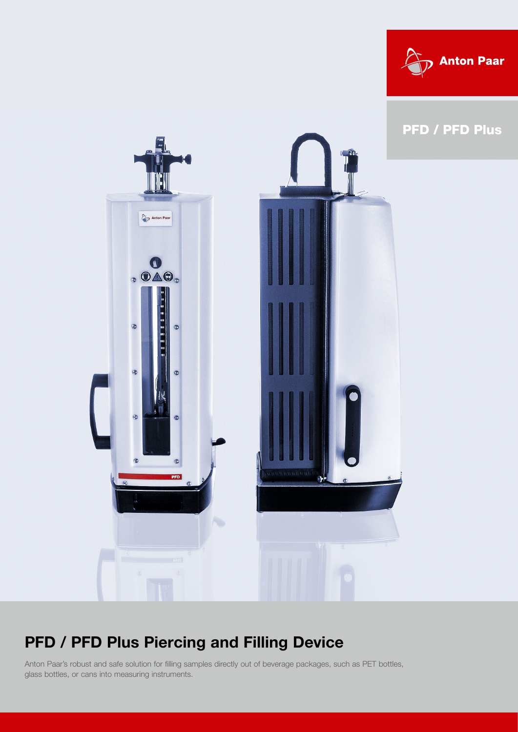



## PFD / PFD Plus Piercing and Filling Device

Anton Paar's robust and safe solution for filling samples directly out of beverage packages, such as PET bottles, glass bottles, or cans into measuring instruments.